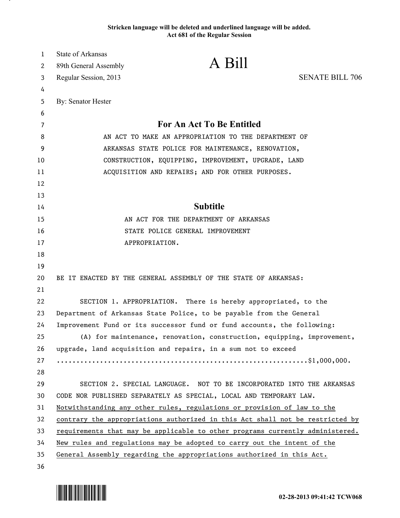## **Stricken language will be deleted and underlined language will be added. Act 681 of the Regular Session**

| 1  | State of Arkansas                                                   |                                                                               |                        |
|----|---------------------------------------------------------------------|-------------------------------------------------------------------------------|------------------------|
| 2  | 89th General Assembly                                               | A Bill                                                                        |                        |
| 3  | Regular Session, 2013                                               |                                                                               | <b>SENATE BILL 706</b> |
| 4  |                                                                     |                                                                               |                        |
| 5  | By: Senator Hester                                                  |                                                                               |                        |
| 6  |                                                                     |                                                                               |                        |
| 7  |                                                                     | For An Act To Be Entitled                                                     |                        |
| 8  | AN ACT TO MAKE AN APPROPRIATION TO THE DEPARTMENT OF                |                                                                               |                        |
| 9  | ARKANSAS STATE POLICE FOR MAINTENANCE, RENOVATION,                  |                                                                               |                        |
| 10 |                                                                     | CONSTRUCTION, EQUIPPING, IMPROVEMENT, UPGRADE, LAND                           |                        |
| 11 |                                                                     | ACQUISITION AND REPAIRS; AND FOR OTHER PURPOSES.                              |                        |
| 12 |                                                                     |                                                                               |                        |
| 13 |                                                                     |                                                                               |                        |
| 14 |                                                                     | <b>Subtitle</b>                                                               |                        |
| 15 |                                                                     | AN ACT FOR THE DEPARTMENT OF ARKANSAS                                         |                        |
| 16 |                                                                     | STATE POLICE GENERAL IMPROVEMENT                                              |                        |
| 17 |                                                                     | APPROPRIATION.                                                                |                        |
| 18 |                                                                     |                                                                               |                        |
| 19 |                                                                     |                                                                               |                        |
| 20 |                                                                     | BE IT ENACTED BY THE GENERAL ASSEMBLY OF THE STATE OF ARKANSAS:               |                        |
| 21 |                                                                     |                                                                               |                        |
| 22 | SECTION 1. APPROPRIATION.                                           | There is hereby appropriated, to the                                          |                        |
| 23 | Department of Arkansas State Police, to be payable from the General |                                                                               |                        |
| 24 |                                                                     | Improvement Fund or its successor fund or fund accounts, the following:       |                        |
| 25 |                                                                     | (A) for maintenance, renovation, construction, equipping, improvement,        |                        |
| 26 |                                                                     | upgrade, land acquisition and repairs, in a sum not to exceed                 |                        |
| 27 |                                                                     |                                                                               |                        |
| 28 |                                                                     |                                                                               |                        |
| 29 |                                                                     | SECTION 2. SPECIAL LANGUAGE. NOT TO BE INCORPORATED INTO THE ARKANSAS         |                        |
| 30 |                                                                     | CODE NOR PUBLISHED SEPARATELY AS SPECIAL, LOCAL AND TEMPORARY LAW.            |                        |
| 31 |                                                                     | Notwithstanding any other rules, regulations or provision of law to the       |                        |
| 32 |                                                                     | contrary the appropriations authorized in this Act shall not be restricted by |                        |
| 33 |                                                                     | requirements that may be applicable to other programs currently administered. |                        |
| 34 |                                                                     | New rules and regulations may be adopted to carry out the intent of the       |                        |
| 35 |                                                                     | General Assembly regarding the appropriations authorized in this Act.         |                        |
| 36 |                                                                     |                                                                               |                        |



.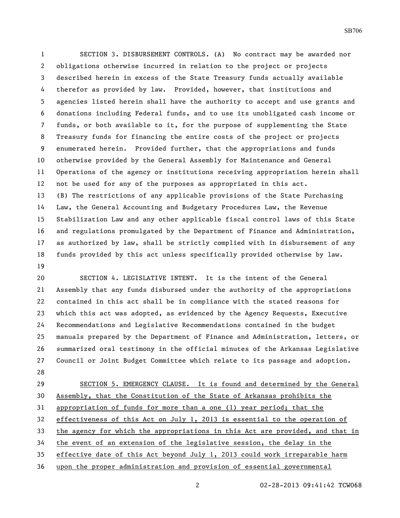SECTION 3. DISBURSEMENT CONTROLS. (A) No contract may be awarded nor obligations otherwise incurred in relation to the project or projects described herein in excess of the State Treasury funds actually available therefor as provided by law. Provided, however, that institutions and agencies listed herein shall have the authority to accept and use grants and donations including Federal funds, and to use its unobligated cash income or funds, or both available to it, for the purpose of supplementing the State Treasury funds for financing the entire costs of the project or projects enumerated herein. Provided further, that the appropriations and funds otherwise provided by the General Assembly for Maintenance and General Operations of the agency or institutions receiving appropriation herein shall not be used for any of the purposes as appropriated in this act. (B) The restrictions of any applicable provisions of the State Purchasing Law, the General Accounting and Budgetary Procedures Law, the Revenue Stabilization Law and any other applicable fiscal control laws of this State and regulations promulgated by the Department of Finance and Administration, as authorized by law, shall be strictly complied with in disbursement of any funds provided by this act unless specifically provided otherwise by law. 

 SECTION 4. LEGISLATIVE INTENT. It is the intent of the General Assembly that any funds disbursed under the authority of the appropriations contained in this act shall be in compliance with the stated reasons for which this act was adopted, as evidenced by the Agency Requests, Executive Recommendations and Legislative Recommendations contained in the budget manuals prepared by the Department of Finance and Administration, letters, or summarized oral testimony in the official minutes of the Arkansas Legislative Council or Joint Budget Committee which relate to its passage and adoption. 

 SECTION 5. EMERGENCY CLAUSE. It is found and determined by the General Assembly, that the Constitution of the State of Arkansas prohibits the appropriation of funds for more than a one (1) year period; that the effectiveness of this Act on July 1, 2013 is essential to the operation of the agency for which the appropriations in this Act are provided, and that in the event of an extension of the legislative session, the delay in the effective date of this Act beyond July 1, 2013 could work irreparable harm upon the proper administration and provision of essential governmental

02-28-2013 09:41:42 TCW068